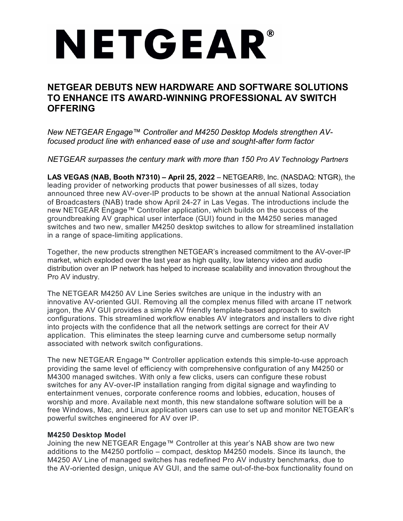# NETGEAR®

# **NETGEAR DEBUTS NEW HARDWARE AND SOFTWARE SOLUTIONS TO ENHANCE ITS AWARD-WINNING PROFESSIONAL AV SWITCH OFFERING**

*New NETGEAR Engage™ Controller and M4250 Desktop Models strengthen AVfocused product line with enhanced ease of use and sought-after form factor*

*NETGEAR surpasses the century mark with more than 150 Pro AV Technology Partners*

**LAS VEGAS (NAB, Booth N7310) – April 25, 2022** – NETGEAR®, Inc. (NASDAQ: NTGR), the leading provider of networking products that power businesses of all sizes, today announced three new AV-over-IP products to be shown at the annual National Association of Broadcasters (NAB) trade show April 24-27 in Las Vegas. The introductions include the new NETGEAR Engage™ Controller application, which builds on the success of the groundbreaking AV graphical user interface (GUI) found in the M4250 series managed switches and two new, smaller M4250 desktop switches to allow for streamlined installation in a range of space-limiting applications.

Together, the new products strengthen NETGEAR's increased commitment to the AV-over-IP market, which exploded over the last year as high quality, low latency video and audio distribution over an IP network has helped to increase scalability and innovation throughout the Pro AV industry.

The NETGEAR M4250 AV Line Series switches are unique in the industry with an innovative AV-oriented GUI. Removing all the complex menus filled with arcane IT network jargon, the AV GUI provides a simple AV friendly template-based approach to switch configurations. This streamlined workflow enables AV integrators and installers to dive right into projects with the confidence that all the network settings are correct for their AV application. This eliminates the steep learning curve and cumbersome setup normally associated with network switch configurations.

The new NETGEAR Engage™ Controller application extends this simple-to-use approach providing the same level of efficiency with comprehensive configuration of any M4250 or M4300 managed switches. With only a few clicks, users can configure these robust switches for any AV-over-IP installation ranging from digital signage and wayfinding to entertainment venues, corporate conference rooms and lobbies, education, houses of worship and more. Available next month, this new standalone software solution will be a free Windows, Mac, and Linux application users can use to set up and monitor NETGEAR's powerful switches engineered for AV over IP.

## **M4250 Desktop Model**

Joining the new NETGEAR Engage™ Controller at this year's NAB show are two new additions to the M4250 portfolio – compact, desktop M4250 models. Since its launch, the M4250 AV Line of managed switches has redefined Pro AV industry benchmarks, due to the AV-oriented design, unique AV GUI, and the same out-of-the-box functionality found on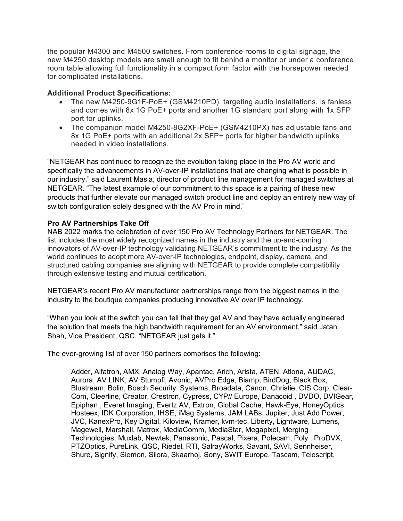the popular M4300 and M4500 switches. From conference rooms to digital signage, the new M4250 desktop models are small enough to fit behind a monitor or under a conference room table allowing full functionality in a compact form factor with the horsepower needed for complicated installations.

## **Additional Product Specifications:**

- The new M4250-9G1F-PoE+ (GSM4210PD), targeting audio installations, is fanless and comes with 8x 1G PoE+ ports and another 1G standard port along with 1x SFP port for uplinks.
- The companion model M4250-8G2XF-PoE+ (GSM4210PX) has adjustable fans and 8x 1G PoE+ ports with an additional 2x SFP+ ports for higher bandwidth uplinks needed in video installations.

"NETGEAR has continued to recognize the evolution taking place in the Pro AV world and specifically the advancements in AV-over-IP installations that are changing what is possible in our industry," said Laurent Masia, director of product line management for managed switches at NETGEAR. "The latest example of our commitment to this space is a pairing of these new products that further elevate our managed switch product line and deploy an entirely new way of switch configuration solely designed with the AV Pro in mind."

## **Pro AV Partnerships Take Off**

NAB 2022 marks the celebration of over 150 Pro AV Technology Partners for NETGEAR. The list includes the most widely recognized names in the industry and the up-and-coming innovators of AV-over-IP technology validating NETGEAR's commitment to the industry. As the world continues to adopt more AV-over-IP technologies, endpoint, display, camera, and structured cabling companies are aligning with NETGEAR to provide complete compatibility through extensive testing and mutual certification.

NETGEAR's recent Pro AV manufacturer partnerships range from the biggest names in the industry to the boutique companies producing innovative AV over IP technology.

"When you look at the switch you can tell that they get AV and they have actually engineered the solution that meets the high bandwidth requirement for an AV environment," said Jatan Shah, Vice President, QSC. "NETGEAR just gets it."

The ever-growing list of over 150 partners comprises the following:

Adder, Alfatron, AMX, Analog Way, Apantac, Arich, Arista, ATEN, Atlona, AUDAC, Aurora, AV LINK, AV Stumpfl, Avonic, AVPro Edge, Biamp, BirdDog, Black Box, Blustream, Bolin, Bosch Security Systems, Broadata, Canon, Christie, CIS Corp, Clear-Com, Cleerline, Creator, Crestron, Cypress, CYP// Europe, Danacoid , DVDO, DVIGear, Epiphan , Everet Imaging, Evertz AV, Extron, Global Cache, Hawk-Eye, HoneyOptics, Hosteex, IDK Corporation, IHSE, iMag Systems, JAM LABs, Jupiter, Just Add Power, JVC, KanexPro, Key Digital, Kiloview, Kramer, kvm-tec, Liberty, Lightware, Lumens, Magewell, Marshall, Matrox, MediaComm, MediaStar, Megapixel, Merging Technologies, Muxlab, Newtek, Panasonic, Pascal, Pixera, Polecam, Poly , ProDVX, PTZOptics, PureLink, QSC, Riedel, RTI, SalrayWorks, Savant, SAVI, Sennheiser, Shure, Signify, Siemon, Silora, Skaarhoj, Sony, SWIT Europe, Tascam, Telescript,